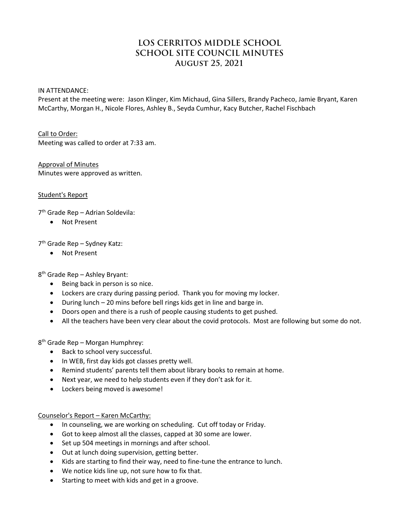# **LOS CERRITOS MIDDLE SCHOOL SCHOOL SITE COUNCIL MINUTES August 25, 2021**

IN ATTENDANCE:

Present at the meeting were: Jason Klinger, Kim Michaud, Gina Sillers, Brandy Pacheco, Jamie Bryant, Karen McCarthy, Morgan H., Nicole Flores, Ashley B., Seyda Cumhur, Kacy Butcher, Rachel Fischbach

Call to Order: Meeting was called to order at 7:33 am.

Approval of Minutes Minutes were approved as written.

Student's Report

7th Grade Rep – Adrian Soldevila:

• Not Present

7th Grade Rep – Sydney Katz:

• Not Present

8th Grade Rep – Ashley Bryant:

- Being back in person is so nice.
- Lockers are crazy during passing period. Thank you for moving my locker.
- During lunch 20 mins before bell rings kids get in line and barge in.
- Doors open and there is a rush of people causing students to get pushed.
- All the teachers have been very clear about the covid protocols. Most are following but some do not.

8<sup>th</sup> Grade Rep – Morgan Humphrey:

- Back to school very successful.
- In WEB, first day kids got classes pretty well.
- Remind students' parents tell them about library books to remain at home.
- Next year, we need to help students even if they don't ask for it.
- Lockers being moved is awesome!

Counselor's Report – Karen McCarthy:

- In counseling, we are working on scheduling. Cut off today or Friday.
- Got to keep almost all the classes, capped at 30 some are lower.
- Set up 504 meetings in mornings and after school.
- Out at lunch doing supervision, getting better.
- Kids are starting to find their way, need to fine-tune the entrance to lunch.
- We notice kids line up, not sure how to fix that.
- Starting to meet with kids and get in a groove.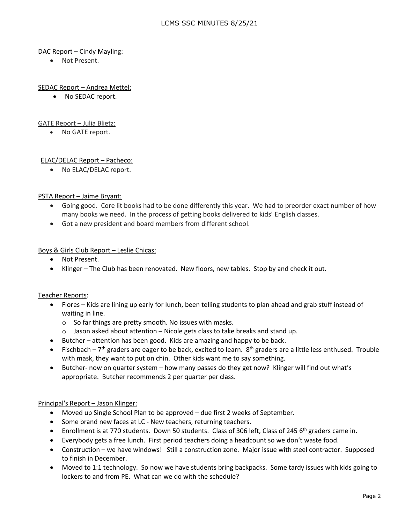# DAC Report – Cindy Mayling:

• Not Present.

# SEDAC Report – Andrea Mettel:

• No SEDAC report.

#### GATE Report – Julia Blietz:

• No GATE report.

# ELAC/DELAC Report – Pacheco:

• No ELAC/DELAC report.

#### PSTA Report – Jaime Bryant:

- Going good. Core lit books had to be done differently this year. We had to preorder exact number of how many books we need. In the process of getting books delivered to kids' English classes.
- Got a new president and board members from different school.

#### Boys & Girls Club Report – Leslie Chicas:

- Not Present.
- Klinger The Club has been renovated. New floors, new tables. Stop by and check it out.

#### Teacher Reports:

- Flores Kids are lining up early for lunch, been telling students to plan ahead and grab stuff instead of waiting in line.
	- o So far things are pretty smooth. No issues with masks.
	- $\circ$  Jason asked about attention Nicole gets class to take breaks and stand up.
- Butcher attention has been good. Kids are amazing and happy to be back.
- Fischbach  $7<sup>th</sup>$  graders are eager to be back, excited to learn.  $8<sup>th</sup>$  graders are a little less enthused. Trouble with mask, they want to put on chin. Other kids want me to say something.
- Butcher- now on quarter system how many passes do they get now? Klinger will find out what's appropriate. Butcher recommends 2 per quarter per class.

#### Principal's Report – Jason Klinger:

- Moved up Single School Plan to be approved due first 2 weeks of September.
- Some brand new faces at LC New teachers, returning teachers.
- Enrollment is at 770 students. Down 50 students. Class of 306 left, Class of 245 6<sup>th</sup> graders came in.
- Everybody gets a free lunch. First period teachers doing a headcount so we don't waste food.
- Construction we have windows! Still a construction zone. Major issue with steel contractor. Supposed to finish in December.
- Moved to 1:1 technology. So now we have students bring backpacks. Some tardy issues with kids going to lockers to and from PE. What can we do with the schedule?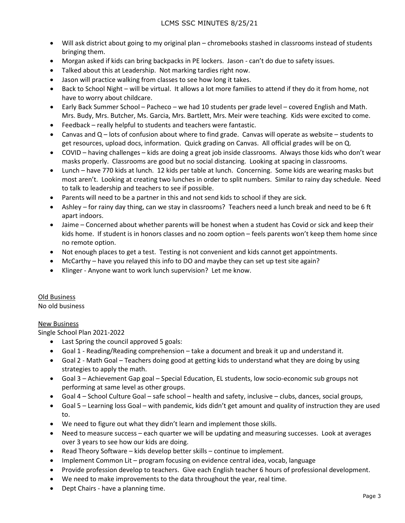- Will ask district about going to my original plan chromebooks stashed in classrooms instead of students bringing them.
- Morgan asked if kids can bring backpacks in PE lockers. Jason can't do due to safety issues.
- Talked about this at Leadership. Not marking tardies right now.
- Jason will practice walking from classes to see how long it takes.
- Back to School Night will be virtual. It allows a lot more families to attend if they do it from home, not have to worry about childcare.
- Early Back Summer School Pacheco we had 10 students per grade level covered English and Math. Mrs. Budy, Mrs. Butcher, Ms. Garcia, Mrs. Bartlett, Mrs. Meir were teaching. Kids were excited to come.
- Feedback really helpful to students and teachers were fantastic.
- Canvas and Q lots of confusion about where to find grade. Canvas will operate as website students to get resources, upload docs, information. Quick grading on Canvas. All official grades will be on Q.
- COVID having challenges kids are doing a great job inside classrooms. Always those kids who don't wear masks properly. Classrooms are good but no social distancing. Looking at spacing in classrooms.
- Lunch have 770 kids at lunch. 12 kids per table at lunch. Concerning. Some kids are wearing masks but most aren't. Looking at creating two lunches in order to split numbers. Similar to rainy day schedule. Need to talk to leadership and teachers to see if possible.
- Parents will need to be a partner in this and not send kids to school if they are sick.
- Ashley for rainy day thing, can we stay in classrooms? Teachers need a lunch break and need to be 6 ft apart indoors.
- Jaime Concerned about whether parents will be honest when a student has Covid or sick and keep their kids home. If student is in honors classes and no zoom option – feels parents won't keep them home since no remote option.
- Not enough places to get a test. Testing is not convenient and kids cannot get appointments.
- McCarthy have you relayed this info to DO and maybe they can set up test site again?
- Klinger Anyone want to work lunch supervision? Let me know.

# Old Business

No old business

#### New Business

Single School Plan 2021-2022

- Last Spring the council approved 5 goals:
- Goal 1 Reading/Reading comprehension take a document and break it up and understand it.
- Goal 2 Math Goal Teachers doing good at getting kids to understand what they are doing by using strategies to apply the math.
- Goal 3 Achievement Gap goal Special Education, EL students, low socio-economic sub groups not performing at same level as other groups.
- Goal 4 School Culture Goal safe school health and safety, inclusive clubs, dances, social groups,
- Goal 5 Learning loss Goal with pandemic, kids didn't get amount and quality of instruction they are used to.
- We need to figure out what they didn't learn and implement those skills.
- Need to measure success each quarter we will be updating and measuring successes. Look at averages over 3 years to see how our kids are doing.
- Read Theory Software kids develop better skills continue to implement.
- Implement Common Lit program focusing on evidence central idea, vocab, language
- Provide profession develop to teachers. Give each English teacher 6 hours of professional development.
- We need to make improvements to the data throughout the year, real time.
- Dept Chairs have a planning time.